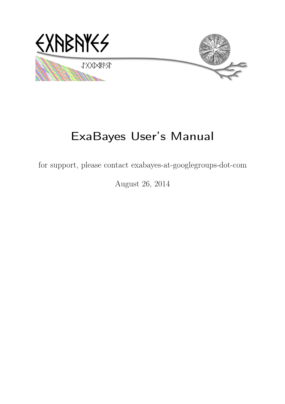

# ExaBayes User's Manual

for support, please contact exabayes-at-googlegroups-dot-com

August 26, 2014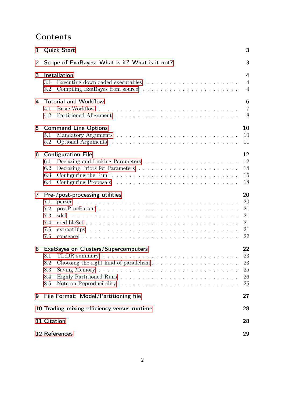# **Contents**

| 1                                                 | <b>Quick Start</b><br>3                                                                                                                                                              |                                        |  |  |  |  |
|---------------------------------------------------|--------------------------------------------------------------------------------------------------------------------------------------------------------------------------------------|----------------------------------------|--|--|--|--|
| 2                                                 | 3<br>Scope of ExaBayes: What is it? What is it not?                                                                                                                                  |                                        |  |  |  |  |
| 3                                                 | Installation<br>Executing downloaded executables $\ldots \ldots \ldots \ldots \ldots \ldots \ldots$<br>3.1<br>3.2                                                                    | 4<br>$\overline{4}$<br>$\overline{4}$  |  |  |  |  |
| 4                                                 | <b>Tutorial and Workflow</b><br>4.1<br>4.2                                                                                                                                           | 6<br>$\overline{7}$<br>8               |  |  |  |  |
| 5                                                 | <b>Command Line Options</b><br>5.1<br>5.2                                                                                                                                            | 10<br>10<br>11                         |  |  |  |  |
| 6                                                 | <b>Configuration File</b><br>6.1<br>6.2<br>Configuring the Run $\dots \dots \dots \dots \dots \dots \dots \dots \dots \dots \dots$<br>6.3<br>6.4                                     | 12<br>12<br>14<br>16<br>18             |  |  |  |  |
| $\overline{\mathbf{r}}$                           | Pre-/post-processing utilities<br>7.1<br>7.2<br>7.3<br>7.4<br>7.5<br>7.6                                                                                                             | 20<br>20<br>21<br>21<br>21<br>21<br>22 |  |  |  |  |
| 8                                                 | <b>ExaBayes on Clusters/Supercomputers</b><br>TL;DR summary $\ldots \ldots \ldots \ldots \ldots \ldots \ldots \ldots \ldots \ldots \ldots \ldots$<br>8.1<br>8.2<br>8.3<br>8.4<br>8.5 | 22<br>23<br>$23\,$<br>25<br>26<br>26   |  |  |  |  |
| 9                                                 | File Format: Model/Partitioning file                                                                                                                                                 | 27                                     |  |  |  |  |
| 10 Trading mixing efficiency versus runtime<br>28 |                                                                                                                                                                                      |                                        |  |  |  |  |
|                                                   | 11 Citation<br>28                                                                                                                                                                    |                                        |  |  |  |  |
|                                                   | 12 References<br>29                                                                                                                                                                  |                                        |  |  |  |  |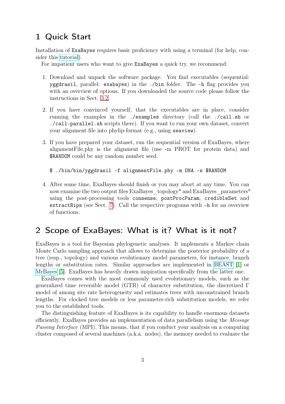# <span id="page-2-0"></span>1 Quick Start

Installation of ExaBayes requires basic proficiency with using a terminal (for help, consider this [tutorial\)](https://help.ubuntu.com/community/UsingTheTerminal).

For impatient users who want to give ExaBayes a quick try, we recommend:

- 1. Download and unpack the software package. You find executables (sequential: yggdrasil, parallel: exabayes) in the ./bin folder. The -h flag provides you with an overview of options. If you downloaded the source code please follow the instructions in Sect. [3.2.](#page-3-2)
- 2. If you have convinced yourself, that the executables are in place, consider running the examples in the ./examples directory (call the ./call.sh or ./call-parallel.sh scripts there). If you want to run your own dataset, convert your alignment file into phylip-format (e.g., using seaview).
- 3. If you have prepared your dataset, run the sequential version of ExaBayes, where alignmentFile.phy is the alignment file (use -m PROT for protein data) and \$RANDOM could be any random number seed.

```
$ ./bin/bin/yggdrasil -f alignmentFile.phy -m DNA -s $RANDOM
```
4. After some time, ExaBayes should finish or you may abort at any time. You can now examine the two output files ExaBayes topology\* and ExaBayes parameters\* using the post-processing tools consense, postProcParam, credibleSet and extractBips (see Sect. [7\)](#page-19-0). Call the respective programs with -h for an overview of functions.

# <span id="page-2-1"></span>2 Scope of ExaBayes: What is it? What is it not?

ExaBayes is a tool for Bayesian phylogenetic analyses. It implements a Markov chain Monte Carlo sampling approach that allows to determine the posterior probability of a tree (resp., topology) and various evolutionary model parameters, for instance, branch lengths or substitution rates. Similar approaches are implemented in [BEAST](http://beast.bio.ed.ac.uk) [\[1\]](#page-28-1) or [MrBayes](http://mrbayes.sourceforge.net/) [\[5\]](#page-28-2). ExaBayes has heavily drawn inspiration specifically from the latter one.

ExaBayes comes with the most commonly used evolutionary models, such as the generalized time reversible model (GTR) of character substitution, the discretized Γ model of among site rate heterogeneity and estimates trees with unconstrained branch lengths. For clocked tree models or less parameter-rich substitution models, we refer you to the established tools.

The distinguishing feature of ExaBayes is its capability to handle enormous datasets efficiently. ExaBayes provides an implementation of data parallelism using the Message Passing Interface (MPI). This means, that if you conduct your analysis on a computing cluster composed of several machines (a.k.a. nodes), the memory needed to evaluate the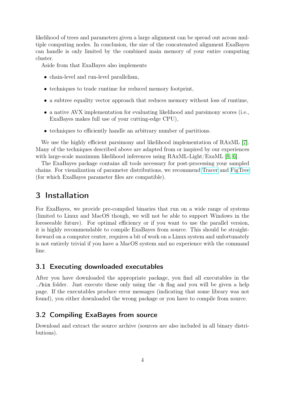likelihood of trees and parameters given a large alignment can be spread out across multiple computing nodes. In conclusion, the size of the concatenated alignment ExaBayes can handle is only limited by the combined main memory of your entire computing cluster.

Aside from that ExaBayes also implements

- chain-level and run-level parallelism,
- techniques to trade runtime for reduced memory footprint,
- a subtree equality vector approach that reduces memory without loss of runtime,
- a native AVX implementation for evaluating likelihood and parsimony scores (i.e., ExaBayes makes full use of your cutting-edge CPU),
- techniques to efficiently handle an arbitrary number of partitions.

We use the highly efficient parsimony and likelihood implementation of RAxML [\[7\]](#page-28-3). Many of the techniques described above are adapted from or inspired by our experiences with large-scale maximum likelihood inferences using RAxML-Light/ExaML [\[8,](#page-29-0) [6\]](#page-28-4).

The ExaBayes package contains all tools necessary for post-processing your sampled chains. For visualization of parameter distributions, we recommend [Tracer](http://tree.bio.ed.ac.uk/software/tracer/) and [FigTree](http://tree.bio.ed.ac.uk/software/figtree/) (for which ExaBayes parameter files are compatible).

# <span id="page-3-0"></span>3 Installation

For ExaBayes, we provide pre-compiled binaries that run on a wide range of systems (limited to Linux and MacOS though, we will not be able to support Windows in the foreseeable future). For optimal efficiency or if you want to use the parallel version, it is highly recommendable to compile ExaBayes from source. This should be straightforward on a computer center, requires a bit of work on a Linux system and unfortunately is not entirely trivial if you have a MacOS system and no experience with the command line.

### <span id="page-3-1"></span>3.1 Executing downloaded executables

After you have downloaded the appropriate package, you find all executables in the ./bin folder. Just execute these only using the -h flag and you will be given a help page. If the executables produce error messages (indicating that some library was not found), you either downloaded the wrong package or you have to compile from source.

# <span id="page-3-2"></span>3.2 Compiling ExaBayes from source

Download and extract the source archive (sources are also included in all binary distributions).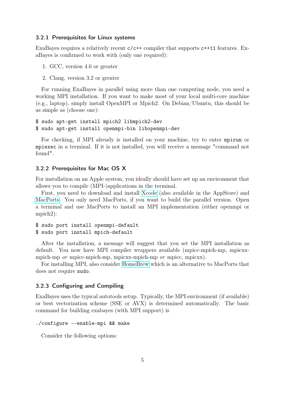#### 3.2.1 Prerequisites for Linux systems

ExaBayes requires a relatively recent  $c/c++$  compiler that supports  $c++11$  features. ExaBayes is confirmed to work with (only one required):

- 1. GCC, version 4.6 or greater
- 2. Clang, version 3.2 or greater

For running ExaBayes in parallel using more than one computing node, you need a working MPI installation. If you want to make most of your local multi-core machine (e.g., laptop), simply install OpenMPI or Mpich2. On Debian/Ubuntu, this should be as simple as (choose one):

\$ sudo apt-get install mpich2 libmpich2-dev \$ sudo apt-get install openmpi-bin libopenmpi-dev

For checking, if MPI already is installed on your machine, try to enter mpirun or mpiexec in a terminal. If it is not installed, you will receive a message "command not found".

#### 3.2.2 Prerequisites for Mac OS X

For installation on an Apple system, you ideally should have set up an environment that allows you to compile (MPI-)applications in the terminal.

First, you need to download and install [Xcode](https://developer.apple.com/technologies/tools/) (also available in the AppStore) and [MacPorts.](http://www.macports.org/) You only need MacPorts, if you want to build the parallel version. Open a terminal and use MacPorts to install an MPI implementation (either openmpi or mpich2):

```
$ sudo port install openmpi-default
$ sudo port install mpich-default
```
After the installation, a message will suggest that you set the MPI installation as default. You now have MPI compiler wrappers available (mpicc-mpich-mp, mpicxxmpich-mp *or* mpicc-mpich-mp, mpicxx-mpich-mp *or* mpicc, mpicxx).

For installing MPI, also consider [HomeBrew](http://brew.sh/) which is an alternative to MacPorts that does not require sudo.

### 3.2.3 Configuring and Compiling

ExaBayes uses the typical autotools setup. Typically, the MPI environment (if available) or best vectorization scheme (SSE or AVX) is determined automatically. The basic command for building exabayes (with MPI support) is

```
./configure --enable-mpi && make
```
Consider the following options: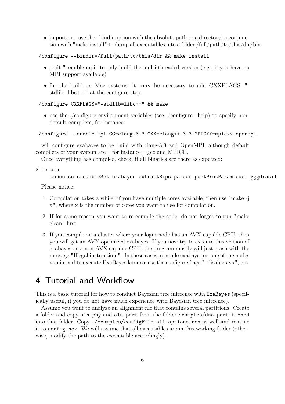• important: use the –bindir option with the absolute path to a directory in conjunction with "make install" to dump all executables into a folder /full/path/to/this/dir/bin

```
./configure --bindir=/full/path/to/this/dir && make install
```
- omit "–enable-mpi" to only build the multi-threaded version (e.g., if you have no MPI support available)
- for the build on Mac systems, it may be necessary to add CXXFLAGS=" stdlib=libc++" at the configure step:

#### ./configure CXXFLAGS="-stdlib=libc++" && make

• use the ./configure environment variables (see ./configure –help) to specify nondefault compilers, for instance

#### ./configure --enable-mpi CC=clang-3.3 CXX=clang++-3.3 MPICXX=mpicxx.openmpi

will configure exabayes to be build with clang-3.3 and OpenMPI, although default compilers of your system are – for instance – gcc and MPICH.

Once everything has compiled, check, if all binaries are there as expected:

\$ ls bin

consense credibleSet exabayes extractBips parser postProcParam sdsf yggdrasil

Please notice:

- 1. Compilation takes a while: if you have multiple cores available, then use "make -j x", where x is the number of cores you want to use for compilation.
- 2. If for some reason you want to re-compile the code, do not forget to run "make clean" first.
- 3. If you compile on a cluster where your login-node has an AVX-capable CPU, then you will get an AVX-optimized exabayes. If you now try to execute this version of exabayes on a non-AVX capable CPU, the program mostly will just crash with the message "Illegal instruction.". In these cases, compile exabayes on one of the nodes you intend to execute ExaBayes later or use the configure flags "–disable-avx", etc.

# <span id="page-5-0"></span>4 Tutorial and Workflow

This is a basic tutorial for how to conduct Bayesian tree inference with ExaBayes (specifically useful, if you do not have much experience with Bayesian tree inference).

Assume you want to analyze an alignment file that contains several partitions. Create a folder and copy aln.phy and aln.part from the folder examples/dna-partitioned into that folder. Copy ./examples/configFile-all-options.nex as well and rename it to config.nex. We will assume that all executables are in this working folder (otherwise, modify the path to the executable accordingly).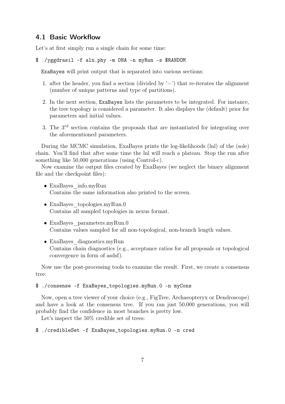# <span id="page-6-0"></span>4.1 Basic Workflow

Let's at first simply run a single chain for some time:

```
$ ./yggdrasil -f aln.phy -m DNA -n myRun -s $RANDOM
```
ExaBayes will print output that is separated into various sections:

- 1. after the header, you find a section (divided by  $=$ ) that re-iterates the alignment (number of unique patterns and type of partitions).
- 2. In the next section, ExaBayes lists the parameters to be integrated. For instance, the tree topology is considered a parameter. It also displays the (default) prior for parameters and initial values.
- 3. The  $3^{rd}$  section contains the proposals that are instantiated for integrating over the aforementioned parameters.

During the MCMC simulation, ExaBayes prints the log-likelihoods (lnl) of the (sole) chain. You'll find that after some time the lnl will reach a plateau. Stop the run after something like 50,000 generations (using Control-c).

Now examine the output files created by ExaBayes (we neglect the binary alignment file and the checkpoint files):

- ExaBayes info.myRun Contains the same information also printed to the screen.
- ExaBayes topologies.myRun.0 Contains all sampled topologies in nexus format.
- ExaBayes\_parameters.myRun.0 Contains values sampled for all non-topological, non-branch length values.
- ExaBayes diagnostics.myRun Contains chain diagnostics (e.g., acceptance ratios for all proposals or topological convergence in form of asdsf).

Now use the post-processing tools to examine the result. First, we create a consensus tree:

### \$ ./consense -f ExaBayes\_topologies.myRun.0 -n myCons

Now, open a tree viewer of your choice (e.g., FigTree, Archaeopteryx or Dendroscope) and have a look at the consensus tree. If you ran just 50,000 generations, you will probably find the confidence in most branches is pretty low.

Let's inspect the  $50\%$  credible set of trees:

```
$ ./credibleSet -f ExaBayes_topologies.myRun.0 -n cred
```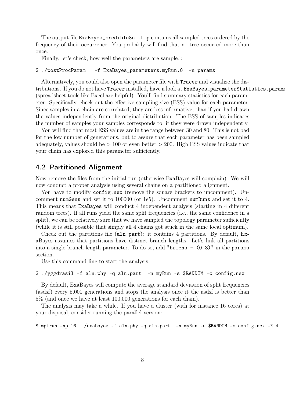The output file ExaBayes\_credibleSet.tmp contains all sampled trees ordered by the frequency of their occurrence. You probably will find that no tree occurred more than once.

Finally, let's check, how well the parameters are sampled:

#### \$ ./postProcParam -f ExaBayes\_parameters.myRun.0 -n params

Alternatively, you could also open the parameter file with Tracer and visualize the distributions. If you do not have Tracer installed, have a look at ExaBayes\_parameterStatistics.params (spreadsheet tools like Excel are helpful). You'll find summary statistics for each parameter. Specifically, check out the effective sampling size (ESS) value for each parameter. Since samples in a chain are correlated, they are less informative, than if you had drawn the values independently from the original distribution. The ESS of samples indicates the number of samples your samples corresponds to, if they were drawn independently.

You will find that most ESS values are in the range between 30 and 80. This is not bad for the low number of generations, but to assure that each parameter has been sampled adequately, values should be  $> 100$  or even better  $> 200$ . High ESS values indicate that your chain has explored this parameter sufficiently.

# <span id="page-7-0"></span>4.2 Partitioned Alignment

Now remove the files from the initial run (otherwise ExaBayes will complain). We will now conduct a proper analysis using several chains on a partitioned alignment.

You have to modify config.nex (remove the square brackets to uncomment). Uncomment numGens and set it to 100000 (or 1e5). Uncomment numRuns and set it to 4. This means that ExaBayes will conduct 4 independent analysis (starting in 4 different random trees). If all runs yield the same split frequencies (i.e., the same confidence in a split), we can be relatively sure that we have sampled the topology parameter sufficiently (while it is still possible that simply all 4 chains got stuck in the same local optimum).

Check out the partitions file (aln.part): it contains 4 partitions. By default, ExaBayes assumes that partitions have distinct branch lengths. Let's link all partitions into a single branch length parameter. To do so, add "brlens = (0-3)" in the params section.

Use this command line to start the analysis:

#### \$ ./yggdrasil -f aln.phy -q aln.part -n myRun -s \$RANDOM -c config.nex

By default, ExaBayes will compute the average standard deviation of split frequencies (asdsf) every 5,000 generations and stops the analysis once it the asdsf is better than 5% (and once we have at least 100,000 generations for each chain).

The analysis may take a while. If you have a cluster (with for instance 16 cores) at your disposal, consider running the parallel version:

\$ mpirun -np 16 ./exabayes -f aln.phy -q aln.part -n myRun -s \$RANDOM -c config.nex -R 4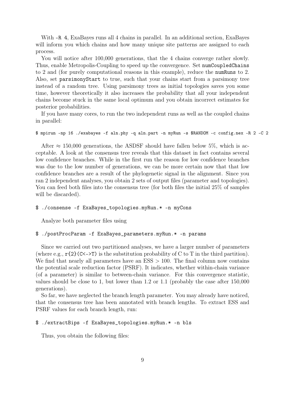With  $-R$  4, ExaBayes runs all 4 chains in parallel. In an additional section, ExaBayes will inform you which chains and how many unique site patterns are assigned to each process.

You will notice after 100,000 generations, that the 4 chains converge rather slowly. Thus, enable Metropolis-Coupling to speed up the convergence. Set numCoupledChains to 2 and (for purely computational reasons in this example), reduce the numRuns to 2. Also, set parsimonyStart to true, such that your chains start from a parsimony tree instead of a random tree. Using parsimony trees as initial topologies saves you some time, however theoretically it also increases the probability that all your independent chains become stuck in the same local optimum and you obtain incorrect estimates for posterior probabilities.

If you have many cores, to run the two independent runs as well as the coupled chains in parallel:

#### \$ mpirun -np 16 ./exabayes -f aln.phy -q aln.part -n myRun -s \$RANDOM -c config.nex -R 2 -C 2

After  $\approx$  150,000 generations, the ASDSF should have fallen below 5\%, which is acceptable. A look at the consensus tree reveals that this dataset in fact contains several low confidence branches. While in the first run the reason for low confidence branches was due to the low number of generations, we can be more certain now that that low confidence branches are a result of the phylogenetic signal in the alignment. Since you ran 2 independent analyses, you obtain 2 sets of output files (parameter and topologies). You can feed both files into the consensus tree (for both files the initial 25\% of samples will be discarded).

#### \$ ./consense -f ExaBayes\_topologies.myRun.\* -n myCons

Analyze both parameter files using

#### \$ ./postProcParam -f ExaBayes\_parameters.myRun.\* -n params

Since we carried out two partitioned analyses, we have a larger number of parameters (where e.g.,  $r\{2\}(\text{C}\langle \text{-} \rangle)$  is the substitution probability of C to T in the third partition). We find that nearly all parameters have an  $ESS > 100$ . The final column now contains the potential scale reduction factor (PSRF). It indicates, whether within-chain variance (of a parameter) is similar to between-chain variance. For this convergence statistic, values should be close to 1, but lower than 1.2 or 1.1 (probably the case after 150,000 generations).

So far, we have neglected the branch length parameter. You may already have noticed, that the consensus tree has been annotated with branch lengths. To extract ESS and PSRF values for each branch length, run:

#### \$ ./extractBips -f ExaBayes\_topologies.myRun.\* -n bls

Thus, you obtain the following files: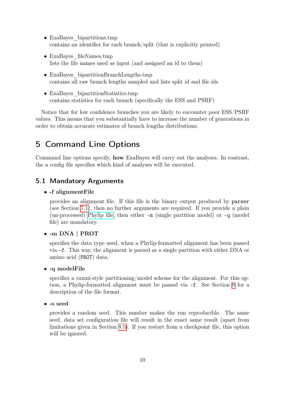- ExaBayes bipartitions.tmp contains an identifier for each branch/split (that is explicitly printed)
- ExaBayes fileNames.tmp lists the file names used as input (and assigned an id to them)
- ExaBayes bipartitionBranchLengths.tmp contains all raw branch lengths sampled and lists split id and file ids
- ExaBayes bipartitionStatistics.tmp contains statistics for each branch (specifically the ESS and PSRF)

Notice that for low confidence branches you are likely to encounter poor ESS/PSRF values. This means that you substantially have to increase the number of generations in order to obtain accurate estimates of branch lengths distributions.

# <span id="page-9-0"></span>5 Command Line Options

Command line options specify, how ExaBayes will carry out the analyses. In contrast, the a config file specifies which kind of analyses will be executed.

# <span id="page-9-1"></span>5.1 Mandatory Arguments

#### • -f alignmentFile

provides an alignment file. If this file is the binary output produced by parser (see Section [7.1\)](#page-19-1), then no further arguments are required. If you provide a plain (un-processed) [Phylip file,](http://evolution.genetics.washington.edu/phylip/doc/sequence.html) then either -m (single partition model) or -q (model file) are mandatory.

#### • -m DNA | PROT

specifies the data type used, when a Phylip-formatted alignment has been passed via -f. This way, the alignment is parsed as a single partition with either DNA or amino acid (PROT) data.

#### • -q modelFile

specifies a raxml-style partitioning/model scheme for the alignment. For this option, a Phylip-formatted alignment must be passed via -f. See Section [9](#page-26-0) for a description of the file format.

• -s seed

provides a random seed. This number makes the run reproducible. The same seed, data set configuration file will result in the exact same result (apart from limitations given in Section [8.5\)](#page-25-1). If you restart from a checkpoint file, this option will be ignored.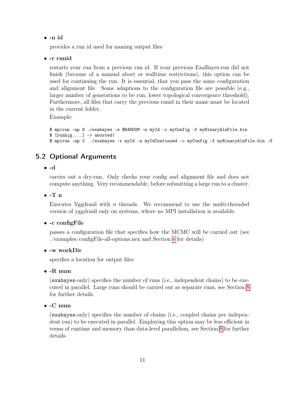• -n id

provides a run id used for naming output files

• -r runid

restarts your run from a previous run id. If your previous ExaBayes-run did not finish (because of a manual abort or walltime restrictions), this option can be used for continuing the run. It is essential, that you pass the same configuration and alignment file. Some adaptions to the configuration file are possible (e.g., larger number of generations to be run, lower topological convergence threshold). Furthermore, all files that carry the previous runid in their name must be located in the current folder.

Example:

```
$ mpirun -np 8 ./exabayes -s $RANDOM -n myId -c myConfig -f myBinaryAlnFile.bin
$ [running...] \rightarrow aborted!$ mpirun -np 2 ./exabayes -r myId -n myIdContinued -c myConfig -f myBinaryAlnFile.bin -S
```
# <span id="page-10-0"></span>5.2 Optional Arguments

#### • -d

carries out a dry-run. Only checks your config and alignment file and does not compute anything. Very recommendable, before submitting a large run to a cluster.

#### $\bullet$  -T n

Executes Yggdrasil with  $n$  threads. We recommend to use the multi-threaded version of yggdrasil only on systems, where no MPI installation is available.

#### • -c configFile

passes a configuration file that specifies how the MCMC will be carried out (see ./examples/configFile-all-options.nex and Section [6](#page-11-0) for details)

#### • -w workDir

specifies a location for output files

#### $\bullet$  -R num

(exabayes-only) specifies the number of runs (i.e., independent chains) to be executed in parallel. Large runs should be carried out as separate runs, see Section [8](#page-21-1) for further details.

#### • -C num

(exabayes-only) specifies the number of chains (i.e., coupled chains per independent run) to be executed in parallel. Employing this option may be less efficient in terms of runtime and memory than data-level parallelism, see Section [8](#page-21-1) for further details.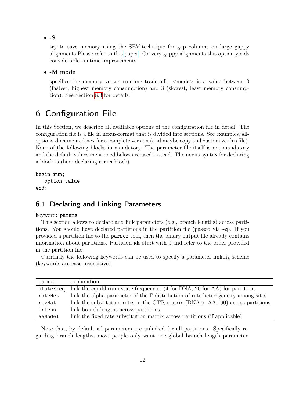$\bullet$  -S

try to save memory using the SEV-technique for gap columns on large gappy alignments Please refer to this [paper.](http://www.biomedcentral.com/1471-2105/12/470) On very gappy alignments this option yields considerable runtime improvements.

#### • -M mode

specifies the memory versus runtime trade-off.  $\langle$  mode $\rangle$  is a value between 0 (fastest, highest memory consumption) and 3 (slowest, least memory consumption). See Section [8.3](#page-24-0) for details.

# <span id="page-11-0"></span>6 Configuration File

In this Section, we describe all available options of the configuration file in detail. The configuration file is a file in nexus-format that is divided into sections. See examples/alloptions-documented.nex for a complete version (and maybe copy and customize this file). None of the following blocks in mandatory. The parameter file itself is not mandatory and the default values mentioned below are used instead. The nexus-syntax for declaring a block is (here declaring a run block).

```
begin run;
   option value
end;
```
# <span id="page-11-1"></span>6.1 Declaring and Linking Parameters

keyword: params

This section allows to declare and link parameters (e.g., branch lengths) across partitions. You should have declared partitions in the partition file (passed via -q). If you provided a partition file to the parser tool, then the binary output file already contains information about partitions. Partition ids start with 0 and refer to the order provided in the partition file.

Currently the following keywords can be used to specify a parameter linking scheme (keywords are case-insensitive):

| param     | explanation                                                                             |
|-----------|-----------------------------------------------------------------------------------------|
| stateFreq | link the equilibrium state frequencies (4 for DNA, 20 for AA) for partitions            |
| rateHet   | link the alpha parameter of the $\Gamma$ distribution of rate heterogeneity among sites |
| revMat    | link the substitution rates in the GTR matrix (DNA:6, AA:190) across partitions         |
| brlens    | link branch lengths across partitions                                                   |
| aaModel   | link the fixed rate substitution matrix across partitions (if applicable)               |

Note that, by default all parameters are unlinked for all partitions. Specifically regarding branch lengths, most people only want one global branch length parameter.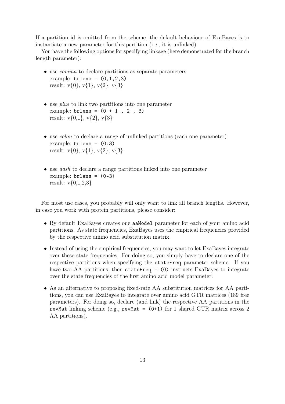If a partition id is omitted from the scheme, the default behaviour of ExaBayes is to instantiate a new parameter for this partition (i.e., it is unlinked).

You have the following options for specifying linkage (here demonstrated for the branch length parameter):

- use *comma* to declare partitions as separate parameters example:  $brlens = (0,1,2,3)$ result:  $v\{0\}$ ,  $v\{1\}$ ,  $v\{2\}$ ,  $v\{3\}$
- use *plus* to link two partitions into one parameter example:  $brlens = (0 + 1, 2, 3)$ result:  $v\{0,1\}$ ,  $v\{2\}$ ,  $v\{3\}$
- use *colon* to declare a range of unlinked partitions (each one parameter) example:  $brlens = (0:3)$ result:  $v\{0\}$ ,  $v\{1\}$ ,  $v\{2\}$ ,  $v\{3\}$
- use *dash* to declare a range partitions linked into one parameter example: brlens = (0-3) result:  $v{0,1,2,3}$

For most use cases, you probably will only want to link all branch lengths. However, in case you work with protein partitions, please consider:

- By default ExaBayes creates one aaModel parameter for each of your amino acid partitions. As state frequencies, ExaBayes uses the empirical frequencies provided by the respective amino acid substitution matrix.
- Instead of using the empirical frequencies, you may want to let ExaBayes integrate over these state frequencies. For doing so, you simply have to declare one of the respective partitions when specifying the stateFreq parameter scheme. If you have two AA partitions, then stateFreq = (0) instructs ExaBayes to integrate over the state frequencies of the first amino acid model parameter.
- As an alternative to proposing fixed-rate AA substitution matrices for AA partitions, you can use ExaBayes to integrate over amino acid GTR matrices (189 free parameters). For doing so, declare (and link) the respective AA partitions in the revMat linking scheme (e.g., revMat =  $(0+1)$  for 1 shared GTR matrix across 2 AA partitions).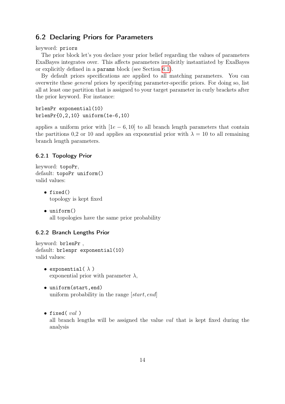# <span id="page-13-0"></span>6.2 Declaring Priors for Parameters

keyword: priors

The prior block let's you declare your prior belief regarding the values of parameters ExaBayes integrates over. This affects parameters implicitly instantiated by ExaBayes or explicitly defined in a params block (see Section [6.1\)](#page-11-1).

By default priors specifications are applied to all matching parameters. You can overwrite these general priors by specifying parameter-specific priors. For doing so, list all at least one partition that is assigned to your target parameter in curly brackets after the prior keyword. For instance:

brlenPr exponential(10) brlenPr{0,2,10} uniform(1e-6,10)

applies a uniform prior with  $[1e - 6, 10]$  to all branch length parameters that contain the partitions 0,2 or 10 and applies an exponential prior with  $\lambda = 10$  to all remaining branch length parameters.

#### 6.2.1 Topology Prior

```
keyword: topoPr,
default: topoPr uniform()
valid values:
```
- fixed() topology is kept fixed
- uniform() all topologies have the same prior probability

#### 6.2.2 Branch Lengths Prior

```
keyword: brlenPr ,
default: brlenpr exponential(10)
valid values:
```
- exponential( $\lambda$ ) exponential prior with parameter  $\lambda$ ,
- uniform(start,end) uniform probability in the range [start, end]
- fixed( $val$ ) all branch lengths will be assigned the value val that is kept fixed during the analysis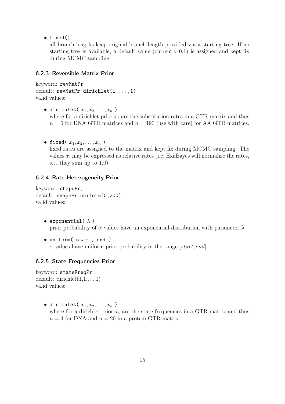• fixed()

all branch lengths keep original branch length provided via a starting tree. If no starting tree is available, a default value (currently 0.1) is assigned and kept fix during MCMC sampling.

#### 6.2.3 Reversible Matrix Prior

```
keyword: revMatPr
default: revMatPr dirichlet(1,...,1)
valid values:
```
- dirichlet( $x_1, x_2, \ldots, x_n$ ) where for a dirichlet prior  $x_i$  are the substitution rates in a GTR matrix and thus  $n = 6$  for DNA GTR matrices and  $n = 190$  (use with care) for AA GTR matrices.
- fixed( $x_1, x_2, \ldots, x_n$ ) fixed rates are assigned to the matrix and kept fix during MCMC sampling. The values  $x_i$  may be expressed as relative rates (i.e, ExaBayes will normalize the rates, s.t. they sum up to 1.0)

#### 6.2.4 Rate Heterogeneity Prior

keyword: shapePr, default: shapePr uniform(0,200) valid values:

- exponential( $\lambda$ ) prior probability of  $\alpha$  values have an exponential distribution with parameter  $\lambda$
- uniform( start, end )  $\alpha$  values have uniform prior probability in the range [start, end]

#### 6.2.5 State Frequencies Prior

keyword: stateFreqPr , default: dirichlet $(1,1,\ldots,1)$ valid values:

> • dirichlet( $x_1, x_2, \ldots, x_n$ ) where for a dirichlet prior  $x_i$  are the state frequencies in a GTR matrix and thus  $n = 4$  for DNA and  $n = 20$  in a protein GTR matrix.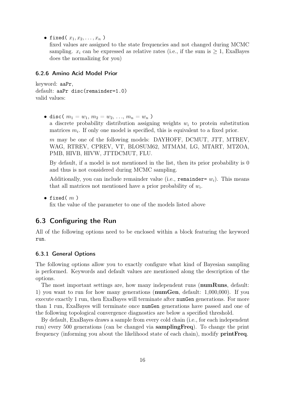• fixed( $x_1, x_2, \ldots, x_n$ )

fixed values are assigned to the state frequencies and not changed during MCMC sampling.  $x_i$  can be expressed as relative rates (i.e., if the sum is  $\geq 1$ , ExaBayes does the normalizing for you)

#### 6.2.6 Amino Acid Model Prior

keyword: aaPr, default: aaPr disc(remainder=1.0) valid values:

• disc(  $m_1 = w_1, m_2 = w_2, ..., m_n = w_n$  ) a discrete probability distribution assigning weights  $w_i$  to protein substitution matrices  $m_i$ . If only one model is specified, this is equivalent to a fixed prior.

m may be one of the following models: DAYHOFF, DCMUT, JTT, MTREV, WAG, RTREV, CPREV, VT, BLOSUM62, MTMAM, LG, MTART, MTZOA, PMB, HIVB, HIVW, JTTDCMUT, FLU.

By default, if a model is not mentioned in the list, then its prior probability is 0 and thus is not considered during MCMC sampling.

Additionally, you can include remainder value (i.e., remainder=  $w_i$ ). This means that all matrices not mentioned have a prior probability of  $w_i$ .

• fixed( $m$ )

fix the value of the parameter to one of the models listed above

# <span id="page-15-0"></span>6.3 Configuring the Run

All of the following options need to be enclosed within a block featuring the keyword run.

#### 6.3.1 General Options

The following options allow you to exactly configure what kind of Bayesian sampling is performed. Keywords and default values are mentioned along the description of the options.

The most important settings are, how many independent runs (numRuns, default: 1) you want to run for how many generations (numGen, default: 1,000,000). If you execute exactly 1 run, then ExaBayes will terminate after numGen generations. For more than 1 run, ExaBayes will terminate once numGen generations have passed and one of the following topological convergence diagnostics are below a specified threshold.

By default, ExaBayes draws a sample from every cold chain (i.e., for each independent run) every 500 generations (can be changed via samplingFreq). To change the print frequency (informing you about the likelihood state of each chain), modify printFreq.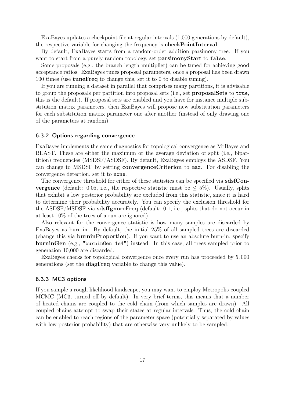ExaBayes updates a checkpoint file at regular intervals (1,000 generations by default), the respective variable for changing the frequency is checkPointInterval.

By default, ExaBayes starts from a random-order addition parsimony tree. If you want to start from a purely random topology, set **parsimonyStart** to false.

Some proposals (e.g., the branch length multiplier) can be tuned for achieving good acceptance ratios. ExaBayes tunes proposal parameters, once a proposal has been drawn 100 times (use tuneFreq to change this, set it to 0 to disable tuning).

If you are running a dataset in parallel that comprises many partitions, it is advisable to group the proposals per partition into proposal sets (i.e., set proposalSets to true, this is the default). If proposal sets are enabled and you have for instance multiple substitution matrix parameters, then ExaBayes will propose new substitution parameters for each substitution matrix parameter one after another (instead of only drawing one of the parameters at random).

#### 6.3.2 Options regarding convergence

ExaBayes implements the same diagnostics for topological convergence as MrBayes and BEAST. These are either the maximum or the average deviation of split (i.e., bipartition) frequencies (MSDSF/ASDSF). By default, ExaBayes employs the ASDSF. You can change to MSDSF by setting convergenceCriterion to max. For disabling the convergence detection, set it to none.

The convergence threshold for either of these statistics can be specified via sdsfCon**vergence** (default: 0.05, i.e., the respective statistic must be  $\leq 5\%$ ). Usually, splits that exhibit a low posterior probability are excluded from this statistic, since it is hard to determine their probability accurately. You can specify the exclusion threshold for the ASDSF/MSDSF via sdsfIgnoreFreq (default: 0.1, i.e., splits that do not occur in at least 10% of the trees of a run are ignored).

Also relevant for the convergence statistic is how many samples are discarded by ExaBayes as burn-in. By default, the initial 25% of all sampled trees are discarded (change this via burninProportion). If you want to use an absolute burn-in, specify burninGen (e.g., "burninGen 1e4") instead. In this case, all trees sampled prior to generation 10,000 are discarded.

ExaBayes checks for topological convergence once every run has proceeded by 5, 000 generations (set the diagFreq variable to change this value).

#### 6.3.3 MC3 options

If you sample a rough likelihood landscape, you may want to employ Metropolis-coupled MCMC (MC3, turned off by default). In very brief terms, this means that a number of heated chains are coupled to the cold chain (from which samples are drawn). All coupled chains attempt to swap their states at regular intervals. Thus, the cold chain can be enabled to reach regions of the parameter space (potentially separated by values with low posterior probability) that are otherwise very unlikely to be sampled.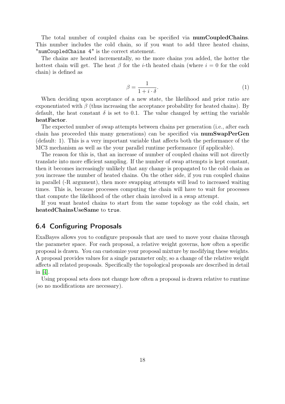The total number of coupled chains can be specified via numCoupledChains. This number includes the cold chain, so if you want to add three heated chains, "numCoupledChains 4" is the correct statement.

The chains are heated incrementally, so the more chains you added, the hotter the hottest chain will get. The heat  $\beta$  for the *i*-th heated chain (where  $i = 0$  for the cold chain) is defined as

$$
\beta = \frac{1}{1 + i \cdot \delta}.\tag{1}
$$

When deciding upon acceptance of a new state, the likelihood and prior ratio are exponentiated with  $\beta$  (thus increasing the acceptance probability for heated chains). By default, the heat constant  $\delta$  is set to 0.1. The value changed by setting the variable heatFactor.

The expected number of swap attempts between chains per generation (i.e., after each chain has proceeded this many generations) can be specified via numSwapPerGen (default: 1). This is a very important variable that affects both the performance of the MC3 mechanism as well as the your parallel runtime performance (if applicable).

The reason for this is, that an increase of number of coupled chains will not directly translate into more efficient sampling. If the number of swap attempts is kept constant, then it becomes increasingly unlikely that any change is propagated to the cold chain as you increase the number of heated chains. On the other side, if you run coupled chains in parallel (-R argument), then more swapping attempts will lead to increased waiting times. This is, because processes computing the chain will have to wait for processes that compute the likelihood of the other chain involved in a swap attempt.

If you want heated chains to start from the same topology as the cold chain, set heatedChainsUseSame to true.

# <span id="page-17-0"></span>6.4 Configuring Proposals

ExaBayes allows you to configure proposals that are used to move your chains through the parameter space. For each proposal, a relative weight governs, how often a specific proposal is drawn. You can customize your proposal mixture by modifying these weights. A proposal provides values for a single parameter only, so a change of the relative weight affects all related proposals. Specifically the topological proposals are described in detail in [\[4\]](#page-28-5).

Using proposal sets does not change how often a proposal is drawn relative to runtime (so no modifications are necessary).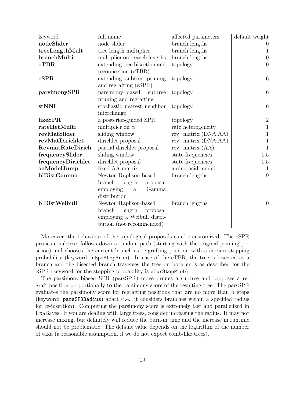| keyword                 | full name                          | affected parameters  | default weight   |
|-------------------------|------------------------------------|----------------------|------------------|
| nodeSlider              | node slider                        | branch lengths       | $\left( \right)$ |
| treeLengthMult          | tree length multiplier             | branch lengths       |                  |
| branchMulti             | multiplier on branch lengths       | branch lengths       | $\theta$         |
| $e$ TBR                 | extending tree bisection and       | topology             | $\overline{0}$   |
|                         | reconnection (eTBR)                |                      |                  |
| eSPR                    | extending subtree pruning          | topology             | $6\phantom{.}6$  |
|                         | and regrafting (eSPR)              |                      |                  |
| parsimonySPR            | parsimony-biased<br>subtree        | topology             | $6\phantom{.}6$  |
|                         | pruning and regrafting             |                      |                  |
| stNNI                   | stochastic nearest neighbor        | topology             | $\boldsymbol{6}$ |
|                         | interchange                        |                      |                  |
| likeSPR                 | a posterior-guided SPR             | topology             | $\sqrt{2}$       |
| rateHetMulti            | multiplier on $\alpha$             | rate heterogeneity   | $\mathbf 1$      |
| revMatSlider            | sliding window                     | rev. matrix (DNA,AA) | 1                |
| revMatDirichlet         | dirichlet proposal                 | rev. matrix (DNA,AA) | 1                |
| <b>RevmatRateDirich</b> | partial dirichlet proposal         | rev. matrix $(AA)$   | 1                |
| frequencySlider         | sliding window                     | state frequencies    | $0.5\,$          |
| frequencyDirichlet      | dirichlet proposal                 | state frequencies    | $0.5\,$          |
| aaModelJump             | fixed AA matrix                    | amino acid model     | 1                |
| blDistGamma             | Newton-Raphson-based               | branch lengths       | 9                |
|                         | length<br>branch<br>proposal       |                      |                  |
|                         | employing<br>Gamma<br>$\mathbf{a}$ |                      |                  |
|                         | distribution                       |                      |                  |
| blDistWeibull           | Newton-Raphson-based               | branch lengths       | $\overline{0}$   |
|                         | branch length<br>proposal          |                      |                  |
|                         | employing a Weibull distri-        |                      |                  |
|                         | bution (not recommended)           |                      |                  |

Moreover, the behaviour of the topological proposals can be customized. The eSPR prunes a subtree, follows down a random path (starting with the original pruning position) and chooses the current branch as re-grafting position with a certain stopping probability (keyword: eSprStopProb). In case of the eTBR, the tree is bisected at a branch and the bisected branch traverses the tree on both ends as described for the eSPR (keyword for the stopping probability is eTbrStopProb).

The parsimony-biased SPR (parsSPR) move prunes a subtree and proposes a regraft position proportionally to the parsimony score of the resulting tree. The parsSPR evaluates the parsimony score for regrafting positions that are no more than n steps (keyword: parsSPRRadius) apart (i.e., it considers branches within a specified radius for re-insertion). Computing the parsimony score is extremely fast and parallelized in ExaBayes. If you are dealing with large trees, consider increasing the radius. It may not increase mixing, but definitely will reduce the burn-in time and the increase in runtime should not be problematic. The default value depends on the logarithm of the number of taxa (a reasonable assumption, if we do not expect comb-like trees).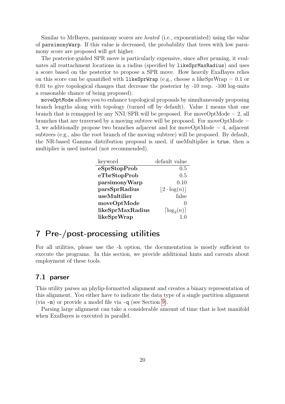Similar to MrBayes, parsimony scores are heated (i.e., exponentiated) using the value of parsimonyWarp. If this value is decreased, the probability that trees with low parsimony score are proposed will get higher.

The posterior-guided SPR move is particularly expensive, since after pruning, it evaluates all reattachment locations in a radius (specified by likeSprMaxRadius) and uses a score based on the posterior to propose a SPR move. How heavily ExaBayes relies on this score can be quantified with likeSprWrap (e.g., choose a likeSprWrap  $= 0.1$  or 0.01 to give topological changes that decrease the posterior by -10 resp. -100 log-units a reasonable chance of being proposed).

moveOptMode allows you to enhance topological proposals by simultaneously proposing branch lengths along with topology (turned off by default). Value 1 means that one branch that is remapped by any  $NNI/SPR$  will be proposed. For moveOptMode  $= 2$ , all branches that are traversed by a moving subtree will be proposed. For move $\text{OptMode} =$ 3, we additionally propose two branches adjacent and for move $\text{OptMode} = 4$ , adjacent subtrees (e.g., also the root branch of the moving subtree) will be proposed. By default, the NR-based Gamma distribution proposal is used, if useMultiplier is true, then a multiplier is used instead (not recommended).

| keyword          | default value             |
|------------------|---------------------------|
| eSprStopProb     | 0.5                       |
| eTbrStopProb     | 0.5                       |
| parsimonyWarp    | 0.10                      |
| parsSprRadius    | $ 2 \cdot \log(n) $       |
| useMultilier     | false                     |
| moveOptMode      | 0                         |
| likeSprMaxRadius | $\lceil \log_2(n) \rceil$ |
| likeSprWrap      |                           |

# <span id="page-19-0"></span>7 Pre-/post-processing utilities

For all utilities, please use the -h option, the documentation is mostly sufficient to execute the programs. In this section, we provide additional hints and caveats about employment of these tools.

# <span id="page-19-1"></span>7.1 parser

This utility parses an phylip-formatted alignment and creates a binary representation of this alignment. You either have to indicate the data type of a single partition alignment (via -m) or provide a model file via -q (see Section [9\)](#page-26-0).

Parsing large alignment can take a considerable amount of time that is lost manifold when ExaBayes is executed in parallel.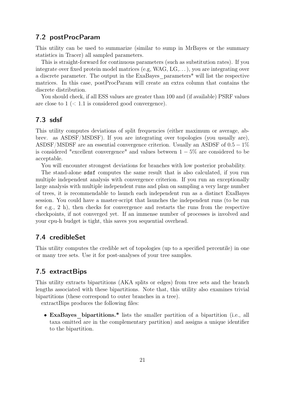# <span id="page-20-0"></span>7.2 postProcParam

This utility can be used to summarize (similar to sump in MrBayes or the summary statistics in Tracer) all sampled parameters.

This is straight-forward for continuous parameters (such as substitution rates). If you integrate over fixed protein model matrices (e.g, WAG,  $LG, \ldots$ ), you are integrating over a discrete parameter. The output in the ExaBayes\_parameters\* will list the respective matrices. In this case, postProcParam will create an extra column that contains the discrete distribution.

You should check, if all ESS values are greater than 100 and (if available) PSRF values are close to  $1 \lt 1.1$  is considered good convergence).

# <span id="page-20-1"></span>7.3 sdsf

This utility computes deviations of split frequencies (either maximum or average, abbrev. as ASDSF/MSDSF). If you are integrating over topologies (you usually are), ASDSF/MSDSF are an essential convergence criterion. Usually an ASDSF of  $0.5 - 1\%$ is considered "excellent convergence" and values between  $1 - 5\%$  are considered to be acceptable.

You will encounter strongest deviations for branches with low posterior probability.

The stand-alone sdsf computes the same result that is also calculated, if you run multiple independent analysis with convergence criterion. If you run an exceptionally large analysis with multiple independent runs and plan on sampling a very large number of trees, it is recommendable to launch each independent run as a distinct ExaBayes session. You could have a master-script that launches the independent runs (to be run for e.g., 2 h), then checks for convergence and restarts the runs from the respective checkpoints, if not converged yet. If an immense number of processes is involved and your cpu-h budget is tight, this saves you sequential overhead.

# <span id="page-20-2"></span>7.4 credibleSet

This utility computes the credible set of topologies (up to a specified percentile) in one or many tree sets. Use it for post-analyses of your tree samples.

# <span id="page-20-3"></span>7.5 extractBips

This utility extracts bipartitions (AKA splits or edges) from tree sets and the branch lengths associated with these bipartitions. Note that, this utility also examines trivial bipartitions (these correspond to outer branches in a tree).

extractBips produces the following files:

• ExaBayes bipartitions.\* lists the smaller partition of a bipartition (i.e., all taxa omitted are in the complementary partition) and assigns a unique identifier to the bipartition.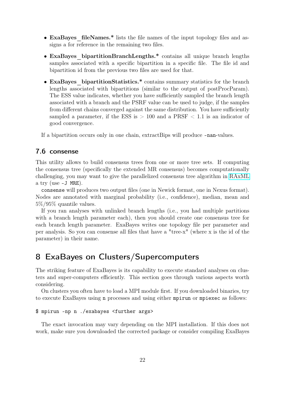- ExaBayes fileNames.\* lists the file names of the input topology files and assigns a for reference in the remaining two files.
- ExaBayes bipartitionBranchLengths.\* contains all unique branch lengths samples associated with a specific bipartition in a specific file. The file id and bipartition id from the previous two files are used for that.
- ExaBayes bipartitionStatistics.\* contains summary statistics for the branch lengths associated with bipartitions (similar to the output of postProcParam). The ESS value indicates, whether you have sufficiently sampled the branch length associated with a branch and the PSRF value can be used to judge, if the samples from different chains converged against the same distribution. You have sufficiently sampled a parameter, if the ESS is  $> 100$  and a PRSF  $< 1.1$  is an indicator of good convergence.

If a bipartition occurs only in one chain, extractBips will produce -nan-values.

### <span id="page-21-0"></span>7.6 consense

This utility allows to build consensus trees from one or more tree sets. If computing the consensus tree (specifically the extended MR consensus) becomes computationally challenging, you may want to give the parallelized consensus tree algorithm in [RAxML](https://github.com/stamatak/standard-RAxML) a try (use -J MRE).

consense will produces two output files (one in Newick format, one in Nexus format). Nodes are annotated with marginal probability (i.e., confidence), median, mean and 5%/95% quantile values.

If you ran analyses with unlinked branch lengths (i.e., you had multiple partitions with a branch length parameter each), then you should create one consensus tree for each branch length parameter. ExaBayes writes one topology file per parameter and per analysis. So you can consense all files that have a "tree-x" (where x is the id of the parameter) in their name.

# <span id="page-21-1"></span>8 ExaBayes on Clusters/Supercomputers

The striking feature of ExaBayes is its capability to execute standard analyses on clusters and super-computers efficiently. This section goes through various aspects worth considering.

On clusters you often have to load a MPI module first. If you downloaded binaries, try to execute ExaBayes using n processes and using either mpirun or mpiexec as follows:

#### \$ mpirun -np n ./exabayes <further args>

The exact invocation may vary depending on the MPI installation. If this does not work, make sure you downloaded the corrected package or consider compiling ExaBayes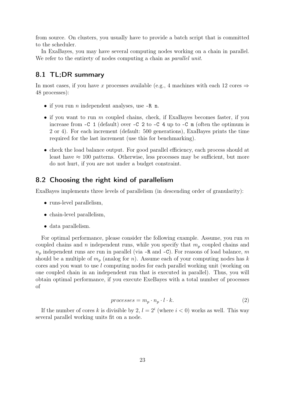from source. On clusters, you usually have to provide a batch script that is committed to the scheduler.

In ExaBayes, you may have several computing nodes working on a chain in parallel. We refer to the entirety of nodes computing a chain as *parallel unit*.

### <span id="page-22-0"></span>8.1 TL;DR summary

In most cases, if you have x processes available (e.g., 4 machines with each 12 cores  $\Rightarrow$ 48 processes):

- if you run *n* independent analyses, use  $-R$  n.
- if you want to run  $m$  coupled chains, check, if ExaBayes becomes faster, if you increase from -C 1 (default) over -C 2 to -C 4 up to -C m (often the optimum is 2 or 4). For each increment (default: 500 generations), ExaBayes prints the time required for the last increment (use this for benchmarking).
- check the load balance output. For good parallel efficiency, each process should at least have  $\approx 100$  patterns. Otherwise, less processes may be sufficient, but more do not hurt, if you are not under a budget constraint.

# <span id="page-22-1"></span>8.2 Choosing the right kind of parallelism

ExaBayes implements three levels of parallelism (in descending order of granularity):

- runs-level parallelism,
- chain-level parallelism,
- data parallelism.

For optimal performance, please consider the following example. Assume, you run  $m$ coupled chains and n independent runs, while you specify that  $m_p$  coupled chains and  $n_p$  independent runs are run in parallel (via -R and -C). For reasons of load balance, m should be a multiple of  $m_p$  (analog for n). Assume each of your computing nodes has k cores and you want to use l computing nodes for each parallel working unit (working on one coupled chain in an independent run that is executed in parallel). Thus, you will obtain optimal performance, if you execute ExeBayes with a total number of processes of

$$
processes = m_p \cdot n_p \cdot l \cdot k. \tag{2}
$$

If the number of cores k is divisible by 2,  $l = 2^i$  (where  $i < 0$ ) works as well. This way several parallel working units fit on a node.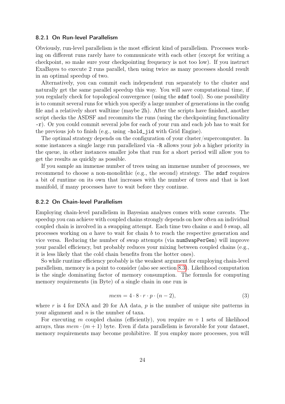#### 8.2.1 On Run-level Parallelism

Obviously, run-level parallelism is the most efficient kind of parallelism. Processes working on different runs rarely have to communicate with each other (except for writing a checkpoint, so make sure your checkpointing frequency is not too low). If you instruct ExaBayes to execute 2 runs parallel, then using twice as many processes should result in an optimal speedup of two.

Alternatively, you can commit each independent run separately to the cluster and naturally get the same parallel speedup this way. You will save computational time, if you regularly check for topological convergence (using the sdsf tool). So one possibility is to commit several runs for which you specify a large number of generations in the config file and a relatively short walltime (maybe 2h). After the scripts have finished, another script checks the ASDSF and recommits the runs (using the checkpointing functionality -r). Or you could commit several jobs for each of your run and each job has to wait for the previous job to finish (e.g., using -hold\_jid with Grid Engine).

The optimal strategy depends on the configuration of your cluster/supercomputer. In some instances a single large run parallelized via -R allows your job a higher priority in the queue, in other instances smaller jobs that run for a short period will allow you to get the results as quickly as possible.

If you sample an immense number of trees using an immense number of processes, we recommend to choose a non-monolithic (e.g., the second) strategy. The sdsf requires a bit of runtime on its own that increases with the number of trees and that is lost manifold, if many processes have to wait before they continue.

#### <span id="page-23-0"></span>8.2.2 On Chain-level Parallelism

Employing chain-level parallelism in Bayesian analyses comes with some caveats. The speedup you can achieve with coupled chains strongly depends on how often an individual coupled chain is involved in a swapping attempt. Each time two chains  $a$  and  $b$  swap, all processes working on a have to wait for chain b to reach the respective generation and vice versa. Reducing the number of swap attempts (via numSwapPerGen) will improve your parallel efficiency, but probably reduces your mixing between coupled chains (e.g., it is less likely that the cold chain benefits from the hotter ones).

So while runtime efficiency probably is the weakest argument for employing chain-level parallelism, memory is a point to consider (also see section [8.3\)](#page-24-0). Likelihood computation is the single dominating factor of memory consumption. The formula for computing memory requirements (in Byte) of a single chain in one run is

$$
mem = 4 \cdot 8 \cdot r \cdot p \cdot (n-2), \tag{3}
$$

where r is 4 for DNA and 20 for AA data,  $p$  is the number of unique site patterns in your alignment and  $n$  is the number of taxa.

For executing m coupled chains (efficiently), you require  $m + 1$  sets of likelihood arrays, thus  $mem \cdot (m + 1)$  byte. Even if data parallelism is favorable for your dataset, memory requirements may become prohibitive. If you employ more processes, you will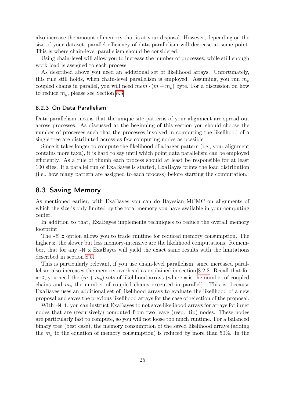also increase the amount of memory that is at your disposal. However, depending on the size of your dataset, parallel efficiency of data parallelism will decrease at some point. This is where chain-level parallelism should be considered.

Using chain-level will allow you to increase the number of processes, while still enough work load is assigned to each process.

As described above you need an additional set of likelihood arrays. Unfortunately, this rule still holds, when chain-level parallelism is employed. Assuming, you run  $m_p$ coupled chains in parallel, you will need  $mem \cdot (m + m_n)$  byte. For a discussion on how to reduce  $m_p$ , please see Section [8.3.](#page-24-0)

#### <span id="page-24-1"></span>8.2.3 On Data Parallelism

Data parallelism means that the unique site patterns of your alignment are spread out across processes. As discussed at the beginning of this section you should choose the number of processes such that the processes involved in computing the likelihood of a single tree are distributed across as few computing nodes as possible.

Since it takes longer to compute the likelihood of a larger pattern (i.e., your alignment contains more taxa), it is hard to say until which point data parallelism can be employed efficiently. As a rule of thumb each process should at least be responsible for at least 100 sites. If a parallel run of ExaBayes is started, ExaBayes prints the load distribution (i.e., how many pattern are assigned to each process) before starting the computation.

### <span id="page-24-0"></span>8.3 Saving Memory

As mentioned earlier, with ExaBayes you can do Bayesian MCMC on alignments of which the size is only limited by the total memory you have available in your computing center.

In addition to that, ExaBayes implements techniques to reduce the overall memory footprint.

The -M x option allows you to trade runtime for reduced memory consumption. The higher x, the slower but less memory-intensive are the likelihood computations. Remember, that for any -M x ExaBayes will yield the exact same results with the limitations described in section [8.5.](#page-25-1)

This is particularly relevant, if you use chain-level parallelism, since increased parallelism also increases the memory-overhead as explained in section [8.2.2.](#page-23-0) Recall that for  $x=0$ , you need the  $(m + m_p)$  sets of likelihood arrays (where m is the number of coupled chains and  $m_p$  the number of coupled chains executed in parallel). This is, because ExaBayes uses an additional set of likelihood arrays to evaluate the likelihood of a new proposal and saves the previous likelihood arrays for the case of rejection of the proposal.

With  $-M$  1, you can instruct ExaBayes to not save likelihood arrays for arrays for inner nodes that are (recursively) computed from two leave (resp. tip) nodes. These nodes are particularly fast to compute, so you will not loose too much runtime. For a balanced binary tree (best case), the memory consumption of the saved likelihood arrays (adding the  $m_p$  to the equation of memory consumption) is reduced by more than 50%. In the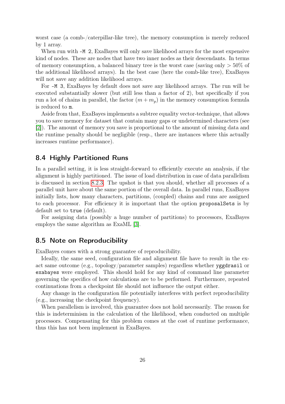worst case (a comb-/caterpillar-like tree), the memory consumption is merely reduced by 1 array.

When run with  $-M$  2, ExaBayes will only save likelihood arrays for the most expensive kind of nodes. These are nodes that have two inner nodes as their descendants. In terms of memory consumption, a balanced binary tree is the worst case (saving only  $>50\%$  of the additional likelihood arrays). In the best case (here the comb-like tree), ExaBayes will not save any addition likelihood arrays.

For -M 3, ExaBayes by default does not save any likelihood arrays. The run will be executed substantially slower (but still less than a factor of 2), but specifically if you run a lot of chains in parallel, the factor  $(m + m_p)$  in the memory consumption formula is reduced to m.

Aside from that, ExaBayes implements a subtree equality vector-technique, that allows you to save memory for dataset that contain many gaps or undetermined characters (see [\[2\]](#page-28-6)). The amount of memory you save is proportional to the amount of missing data and the runtime penalty should be negligible (resp., there are instances where this actually increases runtime performance).

# <span id="page-25-0"></span>8.4 Highly Partitioned Runs

In a parallel setting, it is less straight-forward to efficiently execute an analysis, if the alignment is highly partitioned. The issue of load distribution in case of data parallelism is discussed in section [8.2.3.](#page-24-1) The upshot is that you should, whether all processes of a parallel unit have about the same portion of the overall data. In parallel runs, ExaBayes initially lists, how many characters, partitions, (coupled) chains and runs are assigned to each processor. For efficiency it is important that the option proposalSets is by default set to true (default).

For assigning data (possibly a huge number of partitions) to processors, ExaBayes employs the same algorithm as ExaML [\[3\]](#page-28-7).

# <span id="page-25-1"></span>8.5 Note on Reproducibility

ExaBayes comes with a strong guarantee of reproducibility.

Ideally, the same seed, configuration file and alignment file have to result in the exact same outcome (e.g., topology/parameter samples) regardless whether yggdrasil or exabayes were employed. This should hold for any kind of command line parameter governing the specifics of how calculations are to be performed. Furthermore, repeated continuations from a checkpoint file should not influence the output either.

Any change in the configuration file potentially interferes with perfect reproducibility (e.g., increasing the checkpoint frequency).

When parallelism is involved, this guarantee does not hold necessarily. The reason for this is indeterminism in the calculation of the likelihood, when conducted on multiple processors. Compensating for this problem comes at the cost of runtime performance, thus this has not been implement in ExaBayes.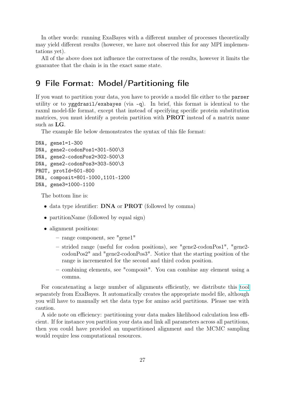In other words: running ExaBayes with a different number of processes theoretically may yield different results (however, we have not observed this for any MPI implementations yet).

All of the above does not influence the correctness of the results, however it limits the guarantee that the chain is in the exact same state.

# <span id="page-26-0"></span>9 File Format: Model/Partitioning file

If you want to partition your data, you have to provide a model file either to the parser utility or to yggdrasil/exabayes (via -q). In brief, this format is identical to the raxml model-file format, except that instead of specifying specific protein substitution matrices, you must identify a protein partition with PROT instead of a matrix name such as LG.

The example file below demonstrates the syntax of this file format:

```
DNA, gene1=1-300
DNA, gene2-codonPos1=301-500\3
DNA, gene2-codonPos2=302-500\3
DNA, gene2-codonPos3=303-500\3
PROT, protId=501-800
DNA, composit=801-1000,1101-1200
DNA, gene3=1000-1100
```
The bottom line is:

- data type identifier: **DNA** or **PROT** (followed by comma)
- partitionName (followed by equal sign)
- alignment positions:
	- range component, see "gene1"
	- strided range (useful for codon positions), see "gene2-codonPos1", "gene2 codonPos2" and "gene2-codonPos3". Notice that the starting position of the range is incremented for the second and third codon position.
	- combining elements, see "composit". You can combine any element using a comma.

For concatenating a large number of alignments efficiently, we distribute this [tool](https://github.com/aberer/concat-aln) separately from ExaBayes. It automatically creates the appropriate model file, although you will have to manually set the data type for amino acid partitions. Please use with caution.

A side note on efficiency: partitioning your data makes likelihood calculation less efficient. If for instance you partition your data and link all parameters across all partitions, then you could have provided an unpartitioned alignment and the MCMC sampling would require less computational resources.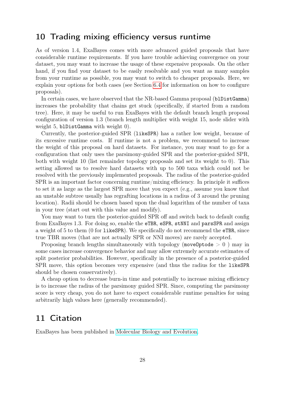# <span id="page-27-0"></span>10 Trading mixing efficiency versus runtime

As of version 1.4, ExaBayes comes with more advanced guided proposals that have considerable runtime requirements. If you have trouble achieving convergence on your dataset, you may want to increase the usage of these expensive proposals. On the other hand, if you find your dataset to be easily resolvable and you want as many samples from your runtime as possible, you may want to switch to cheaper proposals. Here, we explain your options for both cases (see Section [6.4](#page-17-0) for information on how to configure proposals).

In certain cases, we have observed that the NR-based Gamma proposal (blDistGamma) increases the probability that chains get stuck (specifically, if started from a random tree). Here, it may be useful to run ExaBayes with the default branch length proposal configuration of version 1.3 (branch length multiplier with weight 15, node slider with weight 5, blDistGamma with weight 0).

Currently, the posterior-guided SPR (likeSPR) has a rather low weight, because of its excessive runtime costs. If runtime is not a problem, we recommend to increase the weight of this proposal on hard datasets. For instance, you may want to go for a configuration that only uses the parsimony-guided SPR and the posterior-guided SPR, both with weight 10 (list remainder topology proposals and set its weight to 0). This setting allowed us to resolve hard datasets with up to 500 taxa which could not be resolved with the previously implemented proposals. The radius of the posterior-guided SPR is an important factor concerning runtime/mixing efficiency. In principle it suffices to set it as large as the largest SPR move that you expect (e.g., assume you know that an unstable subtree usually has regrafting locations in a radius of 3 around the pruning location). Radii should be chosen based upon the dual logarithm of the number of taxa in your tree (start out with this value and modify).

You may want to turn the posterior-guided SPR off and switch back to default config from ExaBayes 1.3. For doing so, enable the eTBR, eSPR, stNNI and parsSPR and assign a weight of 5 to them (0 for likeSPR). We specifically do not recommend the eTBR, since true TBR moves (that are not actually SPR or NNI moves) are rarely accepted.

Proposing branch lengths simultaneously with topology (moveOptode  $> 0$ ) may in some cases increase convergence behavior and may allow extremely accurate estimates of split posterior probabilities. However, specifically in the presence of a posterior-guided SPR move, this option becomes very expensive (and thus the radius for the likeSPR should be chosen conservatively).

A cheap option to decrease burn-in time and potentially to increase mixing efficiency is to increase the radius of the parsimony guided SPR. Since, computing the parsimony score is very cheap, you do not have to expect considerable runtime penalties for using arbitrarily high values here (generally recommended).

# <span id="page-27-1"></span>11 Citation

ExaBayes has been published in [Molecular Biology and Evolution.](http://mbe.oxfordjournals.org/content/early/2014/08/16/molbev.msu236.abstract)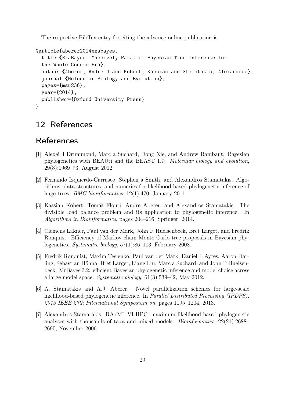The respective BibTex entry for citing the advance online publication is:

```
@article{aberer2014exabayes,
  title={ExaBayes: Massively Parallel Bayesian Tree Inference for
  the Whole-Genome Era},
  author={Aberer, Andre J and Kobert, Kassian and Stamatakis, Alexandros},
  journal={Molecular Biology and Evolution},
  pages={msu236},
  year={2014},
  publisher={Oxford University Press}
}
```
# <span id="page-28-0"></span>12 References

# References

- <span id="page-28-1"></span>[1] Alexei J Drummond, Marc a Suchard, Dong Xie, and Andrew Rambaut. Bayesian phylogenetics with BEAUti and the BEAST 1.7. Molecular biology and evolution, 29(8):1969–73, August 2012.
- <span id="page-28-6"></span>[2] Fernando Izquierdo-Carrasco, Stephen a Smith, and Alexandros Stamatakis. Algorithms, data structures, and numerics for likelihood-based phylogenetic inference of huge trees. *BMC bioinformatics*, 12(1):470, January 2011.
- <span id="page-28-7"></span>[3] Kassian Kobert, Tomáš Flouri, Andre Aberer, and Alexandros Stamatakis. The divisible load balance problem and its application to phylogenetic inference. In Algorithms in Bioinformatics, pages 204–216. Springer, 2014.
- <span id="page-28-5"></span>[4] Clemens Lakner, Paul van der Mark, John P Huelsenbeck, Bret Larget, and Fredrik Ronquist. Efficiency of Markov chain Monte Carlo tree proposals in Bayesian phylogenetics. Systematic biology, 57(1):86–103, February 2008.
- <span id="page-28-2"></span>[5] Fredrik Ronquist, Maxim Teslenko, Paul van der Mark, Daniel L Ayres, Aaron Darling, Sebastian Höhna, Bret Larget, Liang Liu, Marc a Suchard, and John P Huelsenbeck. MrBayes 3.2: efficient Bayesian phylogenetic inference and model choice across a large model space. Systematic biology, 61(3):539–42, May 2012.
- <span id="page-28-4"></span>[6] A. Stamatakis and A.J. Aberer. Novel parallelization schemes for large-scale likelihood-based phylogenetic inference. In Parallel Distributed Processing (IPDPS), 2013 IEEE 27th International Symposium on, pages 1195–1204, 2013.
- <span id="page-28-3"></span>[7] Alexandros Stamatakis. RAxML-VI-HPC: maximum likelihood-based phylogenetic analyses with thousands of taxa and mixed models. Bioinformatics, 22(21):2688– 2690, November 2006.